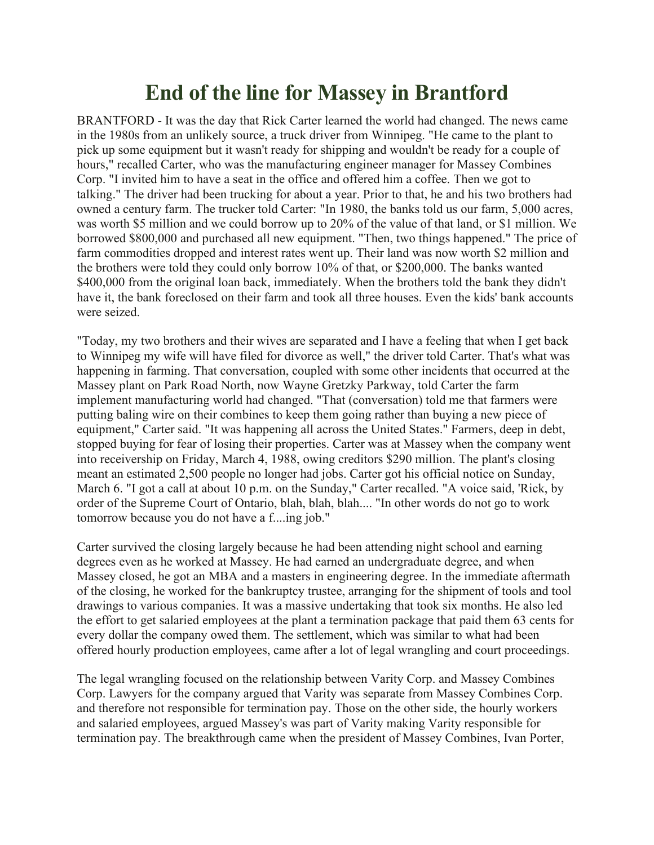## **End of the line for Massey in Brantford**

BRANTFORD - It was the day that Rick Carter learned the world had changed. The news came in the 1980s from an unlikely source, a truck driver from Winnipeg. "He came to the plant to pick up some equipment but it wasn't ready for shipping and wouldn't be ready for a couple of hours," recalled Carter, who was the manufacturing engineer manager for Massey Combines Corp. "I invited him to have a seat in the office and offered him a coffee. Then we got to talking." The driver had been trucking for about a year. Prior to that, he and his two brothers had owned a century farm. The trucker told Carter: "In 1980, the banks told us our farm, 5,000 acres, was worth \$5 million and we could borrow up to 20% of the value of that land, or \$1 million. We borrowed \$800,000 and purchased all new equipment. "Then, two things happened." The price of farm commodities dropped and interest rates went up. Their land was now worth \$2 million and the brothers were told they could only borrow 10% of that, or \$200,000. The banks wanted \$400,000 from the original loan back, immediately. When the brothers told the bank they didn't have it, the bank foreclosed on their farm and took all three houses. Even the kids' bank accounts were seized.

"Today, my two brothers and their wives are separated and I have a feeling that when I get back to Winnipeg my wife will have filed for divorce as well," the driver told Carter. That's what was happening in farming. That conversation, coupled with some other incidents that occurred at the Massey plant on Park Road North, now Wayne Gretzky Parkway, told Carter the farm implement manufacturing world had changed. "That (conversation) told me that farmers were putting baling wire on their combines to keep them going rather than buying a new piece of equipment," Carter said. "It was happening all across the United States." Farmers, deep in debt, stopped buying for fear of losing their properties. Carter was at Massey when the company went into receivership on Friday, March 4, 1988, owing creditors \$290 million. The plant's closing meant an estimated 2,500 people no longer had jobs. Carter got his official notice on Sunday, March 6. "I got a call at about 10 p.m. on the Sunday," Carter recalled. "A voice said, 'Rick, by order of the Supreme Court of Ontario, blah, blah, blah.... "In other words do not go to work tomorrow because you do not have a f....ing job."

Carter survived the closing largely because he had been attending night school and earning degrees even as he worked at Massey. He had earned an undergraduate degree, and when Massey closed, he got an MBA and a masters in engineering degree. In the immediate aftermath of the closing, he worked for the bankruptcy trustee, arranging for the shipment of tools and tool drawings to various companies. It was a massive undertaking that took six months. He also led the effort to get salaried employees at the plant a termination package that paid them 63 cents for every dollar the company owed them. The settlement, which was similar to what had been offered hourly production employees, came after a lot of legal wrangling and court proceedings.

The legal wrangling focused on the relationship between Varity Corp. and Massey Combines Corp. Lawyers for the company argued that Varity was separate from Massey Combines Corp. and therefore not responsible for termination pay. Those on the other side, the hourly workers and salaried employees, argued Massey's was part of Varity making Varity responsible for termination pay. The breakthrough came when the president of Massey Combines, Ivan Porter,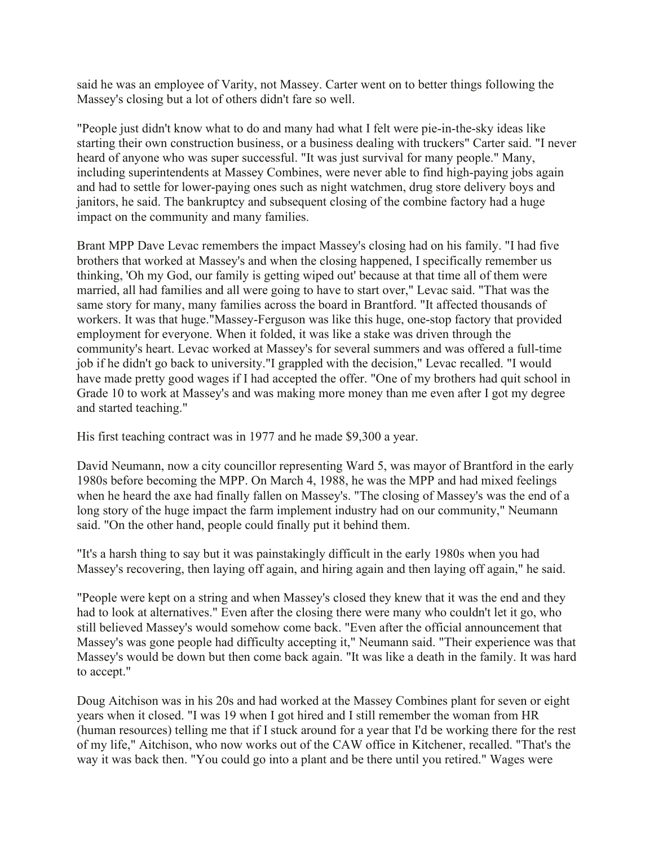said he was an employee of Varity, not Massey. Carter went on to better things following the Massey's closing but a lot of others didn't fare so well.

"People just didn't know what to do and many had what I felt were pie-in-the-sky ideas like starting their own construction business, or a business dealing with truckers" Carter said. "I never heard of anyone who was super successful. "It was just survival for many people." Many, including superintendents at Massey Combines, were never able to find high-paying jobs again and had to settle for lower-paying ones such as night watchmen, drug store delivery boys and janitors, he said. The bankruptcy and subsequent closing of the combine factory had a huge impact on the community and many families.

Brant MPP Dave Levac remembers the impact Massey's closing had on his family. "I had five brothers that worked at Massey's and when the closing happened, I specifically remember us thinking, 'Oh my God, our family is getting wiped out' because at that time all of them were married, all had families and all were going to have to start over," Levac said. "That was the same story for many, many families across the board in Brantford. "It affected thousands of workers. It was that huge."Massey-Ferguson was like this huge, one-stop factory that provided employment for everyone. When it folded, it was like a stake was driven through the community's heart. Levac worked at Massey's for several summers and was offered a full-time job if he didn't go back to university."I grappled with the decision," Levac recalled. "I would have made pretty good wages if I had accepted the offer. "One of my brothers had quit school in Grade 10 to work at Massey's and was making more money than me even after I got my degree and started teaching."

His first teaching contract was in 1977 and he made \$9,300 a year.

David Neumann, now a city councillor representing Ward 5, was mayor of Brantford in the early 1980s before becoming the MPP. On March 4, 1988, he was the MPP and had mixed feelings when he heard the axe had finally fallen on Massey's. "The closing of Massey's was the end of a long story of the huge impact the farm implement industry had on our community," Neumann said. "On the other hand, people could finally put it behind them.

"It's a harsh thing to say but it was painstakingly difficult in the early 1980s when you had Massey's recovering, then laying off again, and hiring again and then laying off again," he said.

"People were kept on a string and when Massey's closed they knew that it was the end and they had to look at alternatives." Even after the closing there were many who couldn't let it go, who still believed Massey's would somehow come back. "Even after the official announcement that Massey's was gone people had difficulty accepting it," Neumann said. "Their experience was that Massey's would be down but then come back again. "It was like a death in the family. It was hard to accept."

Doug Aitchison was in his 20s and had worked at the Massey Combines plant for seven or eight years when it closed. "I was 19 when I got hired and I still remember the woman from HR (human resources) telling me that if I stuck around for a year that I'd be working there for the rest of my life," Aitchison, who now works out of the CAW office in Kitchener, recalled. "That's the way it was back then. "You could go into a plant and be there until you retired." Wages were